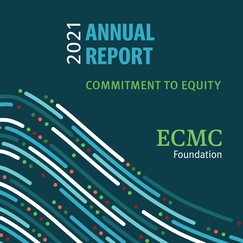# **ANNUAL**  2021 **REPORT**

COMMITMENT TO EQUITY

**ECMC** Foundation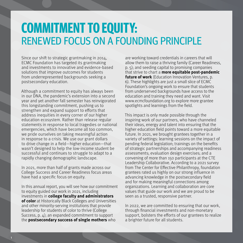## **COMMITMENT TO EQUITY:**  RENEWED FOCUS ON A FOUNDING PRINCIPLE

Since our shift to strategic grantmaking in 2014, ECMC Foundation has targeted its grantmaking and investments to innovative and evidence-based solutions that improve outcomes for students from underrepresented backgrounds seeking a postsecondary education.

Although a commitment to equity has always been in our DNA, the pandemic's extension into a second year and yet another fall semester has reinvigorated this longstanding commitment, pushing us to strengthen and expand support to efforts that address inequities in every corner of our higher education ecosystem. Rather than release regular statements in response to local tragedies or national emergencies, which have become all too common, we pride ourselves on taking meaningful action in response to a crisis. We use our grant dollars to drive change in a field—higher education—that wasn't designed to help the low-income student be successful and continues to struggle to adapt to a rapidly changing demographic landscape.

In 2021, more than half of grants made across our College Success and Career Readiness focus areas have had a specific focus on equity.

In this annual report, you will see how our commitment to equity guided our work in 2021, including investments in **college faculty and administrators of color** at Historically Black Colleges and Universities and other minority-serving institutions that provide leadership for students of color to thrive (College Success, p. 4); an expanded commitment to support the **postsecondary success of single mothers** who

are working toward credentials in careers that will allow them to raise a thriving family (Career Readiness, p. 5); and seeding capital to promising companies that strive to chart a **more equitable post-pandemic future of work** (Education Innovation Ventures, p. 6). These highlights are just a small slice of ECMC Foundation's ongoing work to ensure that students from underserved backgrounds have access to the education and training they need and want. Visit www.ecmcfoundation.org to explore more grantee spotlights and learnings from the field.

This impact is only made possible through the inspiring work of our partners, who have channeled their ideas, energy and talent into ensuring that the higher education field points toward a more equitable future. In 2021, we brought grantees together in a variety of settings: learning sessions on the impact of pending federal legislation; trainings on the benefits of strategic partnerships and accompanying readiness assessments; evaluation design exercises; and a convening of more than 150 participants at the CTE Leadership Collaborative. According to a 2021 survey from The Center for Effective Philanthropy, foundation grantees rated us highly on our strong influence in advancing knowledge in the postsecondary field and for making meaningful connections among organizations. Learning and collaboration are core values that guide our work and we are proud to be seen as a trusted, responsive partner.

In 2022, we are committed to ensuring that our work, through financial investments and non-monetary support, bolsters the efforts of our grantees to realize a brighter future for all students.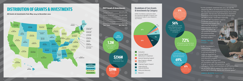

All Grants & Investments from May 2014 to December 2021

## **DISTRIBUTION OF GRANTS & INVESTMENTS**

"As the pandemic stretched into 2021, we saw the deepening effects of entrenched inequities that threaten the educational and employment futures of an entire generation. But we also saw tremendous movement toward structural change that would normally take decades to build. I have been especially proud of ECMC Foundation's work to accelerate needed change. By supporting the leaders and ideas that are shaping a more equitable future of higher education, we can renew the promise of a postsecondary education experience for every student."

## **PETER J. TAYLOR,**

"ECMC Foundation's longstanding commitment to equity is not just external. In 2021, we launched an intercultural assessment and education program that included the Board and all Foundation staff. By committing to grow in our own self-awareness—as colleagues, funders and members of our communities we are better able to support the organization in achieving its diversity, equity and inclusion goals."

**JAMES V. MCKEON, Board Chair** 



## **2021 Grants & Investments**

**\$59M** National in Scope

Evaluation





## **Breakdown of Core Grants & Investments by Category**

ECMC Foundation is proud to share the following highlights of grants and investments made in 2021 related to our mission.

| 515,275,220 |  |
|-------------|--|
| 14,855,000  |  |
| \$3,004,004 |  |
| \$1,000,000 |  |
| \$9,571,350 |  |
|             |  |



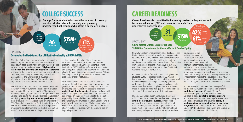College Success aims to increase the number of currently enrolled students from historically and presently underserved backgrounds who attain a bachelor's degree.

While the College Success portfolio has continued to invest in organizational and system-wide efforts to close equity gaps facing many different student groups, we also recognize the importance of **high-quality instruction and effective administrative leadership** in providing the learning environments where students can thrive, particularly at the country's Historically Black Colleges and Universities (HBCUs) and minority-serving institutions (MSIs), which educate large portions of the country's students of color.

HBCUs have an outsized impact on their students and the Black community, having educated 80% of Black judges, 50% of Black lawyers, 40% of Black Congress members and 12.5% of Black CEOs (Thurgood Marshall College Fund, 2019). Yet HBCUs often face challenges in identifying, **recruiting and retaining presidents** and other executive-level college and university personnel. ECMC Foundation invested in Clark Atlanta University's HBCU Executive Leadership Institute, which provides professional development and leadership preparation to HBCU executive leaders, aiming to improve and

Career Readiness is committed to improving postsecondary career and technical education (CTE) outcomes for students from underserved backgrounds. **CTE Leadershi** laborative Fello

sustain talent at the helm of these important institutions. Another ECMC Foundation-funded program, The Rutgers Center for Minority Serving Institutions (CMSI), cultivates future MSI presidents and strengthens presidential pathways for candidates of color through its Aspiring Leaders Program. At least five program participants have since been named presidents of their institutions.

In addition, faculty are a critical line of defense in ensuring students from underserved backgrounds are given the support and guidance they need to succeed. By ensuring that faculty have access to expanded **professional development** and support, colleges will have another powerful tool in their efforts to address equity gaps on campus. In response to the inequities exposed by the rapid shift to remote learning during the pandemic, The Thurgood Marshall College Fund is working with the Association of College and University Educators to train 240 faculty at four public HBCUs in effective online instruction, with the ultimate goal of improving student success.

## **COLLEGE SUCCESS**

**\$15M Granted** 

Nearly two million single mothers attend college in the United States, representing one in 10 undergraduate students. Most (88%) live in or near poverty and their success is deeply intertwined with racial equity, as nearly one in three Black women and one in four Native women in college are single mothers. But just 11% complete their associate degree on time (Institute for Women's Policy Research, 2019). As the only national funder focused on single mother students, ECMC Foundation's initial \$6.4 million investment over the last five years laid the groundwork for needed systemic change, supporting grantee partners as they helped 15 community colleges better serve more than 19,000 single mother students and made the case for more than \$42 million in additional state and federal funding toward student parents. million commitment over the next five years to support **single mother student success**. By directing our investments toward community colleges and their students, we will reach the greatest share of single mother students, nearly half of whom attend community colleges, and ensure that single mothers

In 2021, ECMC Foundation announced a new \$10 have access to the training they need to secure good jobs with family-sustaining wages, like those in healthcare and information technology, that will fuel our economic recovery. We also selected a learning partner, DVP Praxis, to evaluate the impact of our strategy and facilitate community among former and current grantees. When single mothers realize their educational dreams, we see measurable progress on racial and gender equity, not just in higher education, but in society as a whole. In other areas of the Career Readiness portfolio, we made new investments in 2021 that explore **work-based learning** (Educate Texas, The Manufacturing Institute and Ranken Technical College), expand **equitable career pathways** (Association of Community College Trustees, New America and WestEd), and advance **equity in postsecondary career and technical education programs** [National Alliance for Partnerships in Equity (NAPE) Education Foundation and League for Innovation in the Community College].

# **CAREER READINESS**



### SPOTLIGHT **Developing the Next Generation of Effective Leadership at HBCUs & MSIs**

### SPOTLIGHT

### **Single Mother Student Success: Our New \$10 Million Commitment to Advance Racial & Gender Equity**

**42%** people of color

**61%** women

(those reporting)

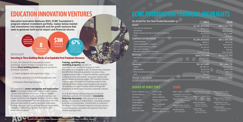| As of and for the Year Ended December 31           | 2021            | 2020          |
|----------------------------------------------------|-----------------|---------------|
| <b>Assets</b>                                      | \$1,081,859,826 | \$823,595,336 |
| Cash and cash equivalents                          | \$9,532,277     | \$11,341,592  |
| Investments                                        | \$1,065,083,855 | \$806,892,954 |
| Program-related investments and direct investments | \$7,076,372     | \$5,151,885   |
| Other                                              | \$167,322       | \$208,905     |
| <b>Liabilities and Net Assets</b>                  | \$1,081,859,826 | \$823,595,336 |
| <b>Current liabilities</b>                         | \$999,411       | \$673,099     |
| Grants payable within 12 months                    | \$21,097,227    | \$19,438,638  |
| Grants payable beyond 12 months                    | \$5,149,514     | \$6,126,236   |
| Non-current liabilities                            | \$70,566        | \$59,465      |
| Net assets without donor restrictions              | \$1,054,543,108 | \$797,297,898 |
| <b>Revenues</b>                                    | \$304,925,099   | \$152,312,723 |
| Gain from investment pool earnings, net            | \$305,057,681   | \$152,825,714 |
| Other                                              | (132, 582)      | (512, 991)    |
| Expenses                                           | \$47,679,889    | \$47,288,728  |
| Grants                                             | \$41,805,573    | \$42,253,591  |
| Administrative                                     | \$4,364,276     | \$3,973,244   |
| DCAs and professional services                     | \$1,417,388     | \$902,178     |
| Other                                              | \$92,652        | \$159,715     |
| <b>Change in Net Assets</b>                        | \$257,245,210   | \$105,023,995 |

James V. McKeon (Chair) Jennifer Anderson Julia Gouw Diana Ingram Derek Langhauser Jack O'Connell James Runcie Maurice M. Salter

Alissa Santoro, Office anager & Executive Assistant to the Presi

Unaudited and internally prepared financial statements.

Saúl Valdez, Program Officer, College Success

## **BOARD OF DIRECTORS**

K. Paul Singh Peter J. Taylor Jeremy J. Wheaton Roberta Cooper Ramo (Emeritus) John F. DePodesta (Emeritus)

I. King Jordan (Emeritus) Robert A. Stein (Emeritus) Peter J. Taylor, President Lynn Alvarez, Vice President, Programs & Strategy

Sarah Belnick,

Senior Program Director, College Success

Patrick Bourke, Program Officer, Career Readiness

Danielle Carrillo,

Grants Manager

Bryan Fahrbach, Program & Evaluation Associate

Stephen J. Handel, Ph.D., Senior Program Officer, Special Opportunities

Jessica Haselton, Director, Program-Related Investments

Loraine Park, Senior Manager, Learning & Impact Rosario Torres, Program Officer, Career Readiness

Jennifer Zeisler, Senior Program Director, Career Readiness

### **STAFF**

Education Innovation Ventures (EIV), ECMC Foundation's program-related investment portfolio, makes below-marketrate investments into nonprofit and for-profit ventures that seek to generate both social impact and financial returns.

In 2021, EIV steered its investments toward promising, equity-minded solutions that could bolster **three building blocks** of a post-pandemic economic recovery:

- 1. Career navigation and exploration tools,
- 2.Training, upskilling and reskilling programs, and
- 3. Innovative financing structures.

EIV invested in **career navigation and exploration tools** to increase equity and representation within careers that will fuel the future of work. Gladeo, for instance, helped build a forthcoming regional career portal for Los Angeles residents, particularly under- and unemployed women and people of color, who are interested in exploring career pathways, finding new jobs, and upskilling through community colleges, credential programs and career and technical education.

#### **Training, upskilling and reskilling programs** will also be

essential as our workforce evolves to meet the needs of a changing world. To ensure that everyone benefits from the post-pandemic recovery, these programs must make it easier for workers, particularly workers of color and women, to access careers that garner family-sustaining wages. EIV investee Onramp uses an apprenticeship and training model to help individuals from underserved backgrounds prepare for employment opportunities while working with employers to build more inclusive corporate cultures.

To shift the burden of financing retraining from individual workers, EIV invested in **innovative financing structures**. ISAs spread that burden across a multitude of stakeholders, including training providers and employers. Investments in programs like Better Future Forward intend to increase access to postsecondary education for learners from lowincome backgrounds.

# **EDUCATION INNOVATION VENTURES**

# **ECMC FOUNDATION FINANCIAL HIGHLIGHTS**

### As of and for the Year Ended December 31

#### Change in Net Assets



### SPOTLIGHT

### **Investing in Three Building Blocks of an Equitable Post-Pandemic Recovery**